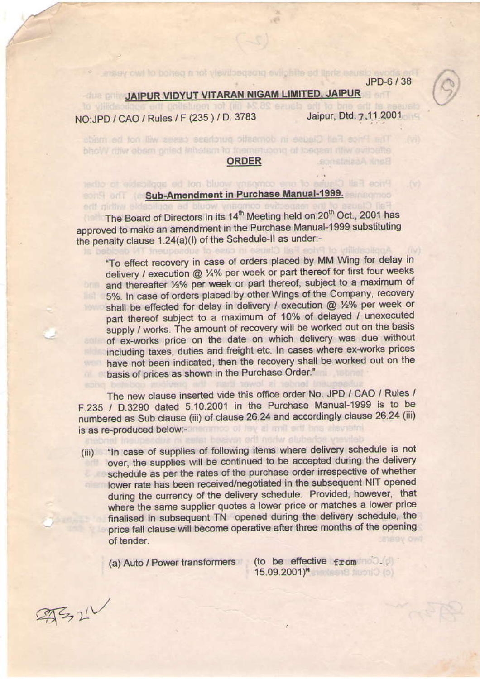JPD-6 / 38

## JAIPUR VIDYUT VITARAN NIGAM LIMITED, JAIPUR

ensey owl to bolsed a tot viewbegsong evilofitte ad ligns

NO:JPD / CAO / Rules / F (235) / D. 3783

Jaipur, Dtd. 7, 11.2001

Bank Assistants.

## ORDER

The Prios Fall Glause in domestic purchase cases will not be made bhow ithiw obsm pried fahetam to tgemetuoong at toegaen rithy ovitoefte

## Price Fall Clause of one company would not be epicelost o other **Sub-Amendment in Purchase Manual-1999.**

orth girthw eldebilgge ad bluow, ynsgmoo sylbeggen a

The Board of Directors in its 14<sup>th</sup> Meeting held on 20<sup>th</sup> Oct., 2001 has approved to make an amendment in the Purchase Manual-1999 substituting the penalty clause 1.24(a)(l) of the Schedule-II as under:-

"To effect recovery in case of orders placed by MM Wing for delay in delivery / execution @ 1/4% per week or part thereof for first four weeks and thereafter 1/2% per week or part thereof, subject to a maximum of 5%. In case of orders placed by other Wings of the Company, recovery shall be effected for delay in delivery / execution @ 1/2% per week or part thereof subject to a maximum of 10% of delayed / unexecuted supply / works. The amount of recovery will be worked out on the basis of ex-works price on the date on which delivery was due without including taxes, duties and freight etc. In cases where ex-works prices have not been indicated, then the recovery shall be worked out on the basis of prices as shown in the Purchase Order."

The new clause inserted vide this office order No. JPD / CAO / Rules / F.235 / D.3290 dated 5.10.2001 in the Purchase Manual-1999 is to be numbered as Sub clause (iii) of clause 26.24 and accordingly clause 26.24 (iii) is as re-produced below:- and a state of the state of the state of the state of the state of the state of the

"In case of supplies of following items where delivery schedule is not  $(iii)$ over, the supplies will be continued to be accepted during the delivery schedule as per the rates of the purchase order irrespective of whether lower rate has been received/negotiated in the subsequent NIT opened during the currency of the delivery schedule. Provided, however, that where the same supplier quotes a lower price or matches a lower price finalised in subsequent TN opened during the delivery schedule, the price fall clause will become operative after three months of the opening of tender.

(a) Auto / Power transformers

(to be effective from  $15.09.2001$ <sup>M</sup>

今い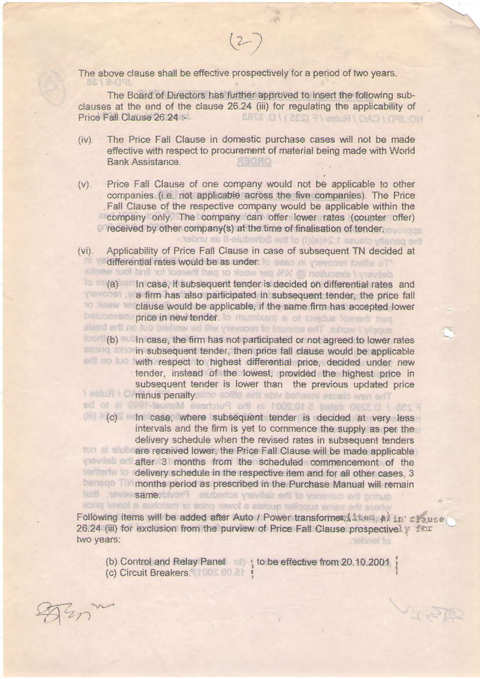The above clause shall be effective prospectively for a period of two years. 8618-09

The Board of Directors has further approved to insert the following subclauses at the end of the clause 26.24 (iii) for regulating the applicability of Price Fall Clause 26.24 NO: IPD / CAO / Rules / F (235) / D. 3783

- The Price Fall Clause in domestic purchase cases will not be made  $(iv).$ effective with respect to procurement of material being made with World Bank Assistance. **REGAO**
- Price Fall Clause of one company would not be applicable to other  $(V)$ . companies (i.e. not applicable across the five companies). The Price Fall Clause of the respective company would be applicable within the company only. The company can offer lower rates (counter offer) received by other company(s) at the time of finalisation of tender. the penalty clause 1.24(a)(l) of the Schedule-II as under-
- Applicability of Price Fall Clause in case of subsequent TN decided at  $(vi)$ . differential rates would be as under: lo easo ni yravoom balle of delivery I execution @ W% per week or part thereof for first four weeks
	- (a) In case, if subsequent tender is decided on differential rates and a firm has also participated in subsequent tender, the price fall to leave clause would be applicable, if the same firm has accepted lower beluperent price in new tender. To mumbiem a of beidue to end had alead and no fuo beshow ad liny yravocer to Inuonna entity ashow I vigoue
	- (b) In case, the firm has not participated or not agreed to lower rates in subsequent tender, then price fall clause would be applicable entime to with respect to highest differential price, decided under new tender, instead of the lowest, provided the highest price in subsequent tender is lower than the previous updated price I salu FI O minus penalty. To some and ebiv behsani eausio wen enT F 235 / D 3290 dated 5.10.2001 in the Punchase Manual fever in be
	- (c) In case, where subsequent tender is decided at very less intervals and the firm is yet to commence the supply as per the delivery schedule when the revised rates in subsequent tenders for the the received lower, the Price Fall Clause will be made applicable ynevileb after 3 months from the scheduled commencement of the termediate of delivery schedule in the respective item and for all other cases, 3 here of months period as prescribed in the Purchase Manual will remain during the currency of the delivery schedule. Providence as an that

Following items will be added after Auto / Power transformer item all in chause. 26.24 (iii) for exclusion from the purview of Price Fall Clause prospectively fier two years: nebnel to

VICER

(b) Control and Relay Panel (b) to be effective from 20.10.2001. (c) Circuit Breakers. 1005.00 al 4

soing newel a earlotem to soing tewol a zatoup telloque ernes ant enerly

 $\lambda_{2D}$